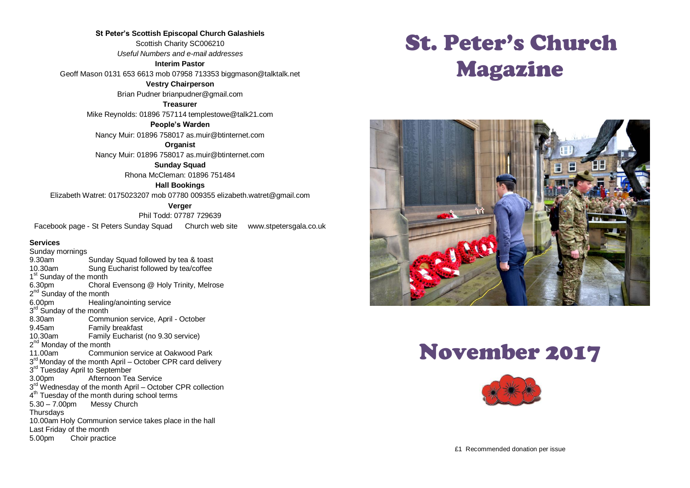**St Peter's Scottish Episcopal Church Galashiels** Scottish Charity SC006210 *Useful Numbers and e-mail addresses* **Interim Pastor**

Geoff Mason 0131 653 6613 mob 07958 713353 biggmason@talktalk.net

**Vestry Chairperson** Brian Pudner brianpudner@gmail.com

**Treasurer** Mike Reynolds: 01896 757114 templestowe@talk21.com

**People's Warden**

Nancy Muir: 01896 758017 as.muir@btinternet.com

**Organist** Nancy Muir: 01896 758017 as.muir@btinternet.com

> **Sunday Squad** Rhona McCleman: 01896 751484

> > **Hall Bookings**

Elizabeth Watret: 0175023207 mob 07780 009355 elizabeth.watret@gmail.com

**Verger**

Phil Todd: 07787 729639 Facebook page - St Peters Sunday Squad Church web site www.stpetersgala.co.uk

#### **Services**

Sunday mornings 9.30am Sunday Squad followed by tea & toast<br>10.30am Sung Eucharist followed by tea/coffee Sung Eucharist followed by tea/coffee 1<sup>st</sup> Sunday of the month 6.30pm Choral Evensong @ Holy Trinity, Melrose 2<sup>nd</sup> Sunday of the month 6.00pm Healing/anointing service 3<sup>rd</sup> Sunday of the month 8.30am Communion service, April - October 9.45am Family breakfast<br>10.30am Family Fucharist Family Eucharist (no 9.30 service) 2<sup>nd</sup> Monday of the month 11.00am Communion service at Oakwood Park 3<sup>rd</sup> Monday of the month April – October CPR card delivery 3<sup>rd</sup> Tuesday April to September 3.00pm Afternoon Tea Service 3<sup>rd</sup> Wednesday of the month April – October CPR collection 4<sup>th</sup> Tuesday of the month during school terms 5.30 – 7.00pm Messy Church **Thursdays** 10.00am Holy Communion service takes place in the hall Last Friday of the month 5.00pm Choir practice

# St. Peter's Church Magazine



# November 2017

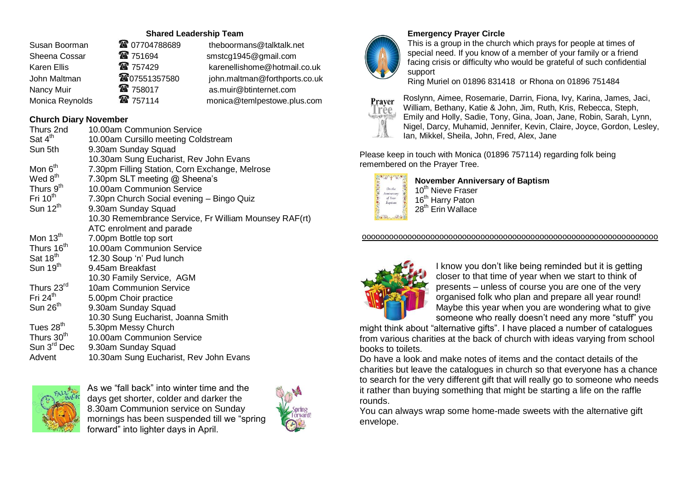## **Shared Leadership Team**

| Susan Boorman   | <b>@</b> 07704788689 | theboormans@talktalk.net      |
|-----------------|----------------------|-------------------------------|
| Sheena Cossar   | <b>雷 751694</b>      | smstcg1945@gmail.com          |
| Karen Ellis     | ☎ 757429             | karenellishome@hotmail.co.uk  |
| John Maltman    | <b>@07551357580</b>  | john.maltman@forthports.co.uk |
| Nancy Muir      | ■ 758017             | as.muir@btinternet.com        |
| Monica Reynolds | 雷 757114             | monica@temlpestowe.plus.com   |
|                 |                      |                               |

## **Church Diary November**

| Thurs 2nd               | 10.00am Communion Service                             |
|-------------------------|-------------------------------------------------------|
| Sat $4th$               | 10.00am Cursillo meeting Coldstream                   |
| Sun 5th                 | 9.30am Sunday Squad                                   |
|                         | 10.30am Sung Eucharist, Rev John Evans                |
| Mon 6 <sup>th</sup>     | 7.30pm Filling Station, Corn Exchange, Melrose        |
| Wed 8 <sup>th</sup>     | 7.30pm SLT meeting @ Sheena's                         |
| Thurs 9 <sup>th</sup>   | 10.00am Communion Service                             |
| Fri $10th$              | 7.30pn Church Social evening - Bingo Quiz             |
| Sun $12^{th}$           | 9.30am Sunday Squad                                   |
|                         | 10.30 Remembrance Service, Fr William Mounsey RAF(rt) |
|                         | ATC enrolment and parade                              |
| Mon 13 <sup>th</sup>    | 7.00pm Bottle top sort                                |
| Thurs 16 <sup>th</sup>  | 10.00am Communion Service                             |
| Sat 18 <sup>th</sup>    | 12.30 Soup 'n' Pud lunch                              |
| Sun 19 <sup>th</sup>    | 9.45am Breakfast                                      |
|                         | 10.30 Family Service, AGM                             |
| Thurs 23rd              | 10am Communion Service                                |
| Fri $24th$              | 5.00pm Choir practice                                 |
| Sun 26 <sup>th</sup>    | 9.30am Sunday Squad                                   |
|                         | 10.30 Sung Eucharist, Joanna Smith                    |
| Tues 28 <sup>th</sup>   | 5.30pm Messy Church                                   |
| Thurs 30 <sup>th</sup>  | 10.00am Communion Service                             |
| Sun 3 <sup>rd</sup> Dec | 9.30am Sunday Squad                                   |
| Advent                  | 10.30am Sung Eucharist, Rev John Evans                |
|                         |                                                       |



As we "fall back" into winter time and the days get shorter, colder and darker the 8.30am Communion service on Sunday mornings has been suspended till we "spring forward" into lighter days in April.





## **Emergency Prayer Circle**

This is a group in the church which prays for people at times of special need. If you know of a member of your family or a friend facing crisis or difficulty who would be grateful of such confidential support

Ring Muriel on 01896 831418 or Rhona on 01896 751484



Roslynn, Aimee, Rosemarie, Darrin, Fiona, Ivy, Karina, James, Jaci, William, Bethany, Katie & John, Jim, Ruth, Kris, Rebecca, Steph, Emily and Holly, Sadie, Tony, Gina, Joan, Jane, Robin, Sarah, Lynn, Nigel, Darcy, Muhamid, Jennifer, Kevin, Claire, Joyce, Gordon, Lesley, Ian, Mikkel, Sheila, John, Fred, Alex, Jane

Please keep in touch with Monica (01896 757114) regarding folk being remembered on the Prayer Tree.



**November Anniversary of Baptism**

10<sup>th</sup> Nieve Fraser 16<sup>th</sup> Harry Paton 28<sup>th</sup> Erin Wallace

#### ooooooooooooooooooooooooooooooooooooooooooooooooooooooooooooooooo



I know you don't like being reminded but it is getting closer to that time of year when we start to think of presents – unless of course you are one of the very organised folk who plan and prepare all year round! Maybe this year when you are wondering what to give someone who really doesn't need any more "stuff" you

might think about "alternative gifts". I have placed a number of catalogues from various charities at the back of church with ideas varying from school books to toilets.

Do have a look and make notes of items and the contact details of the charities but leave the catalogues in church so that everyone has a chance to search for the very different gift that will really go to someone who needs it rather than buying something that might be starting a life on the raffle rounds.

You can always wrap some home-made sweets with the alternative gift envelope.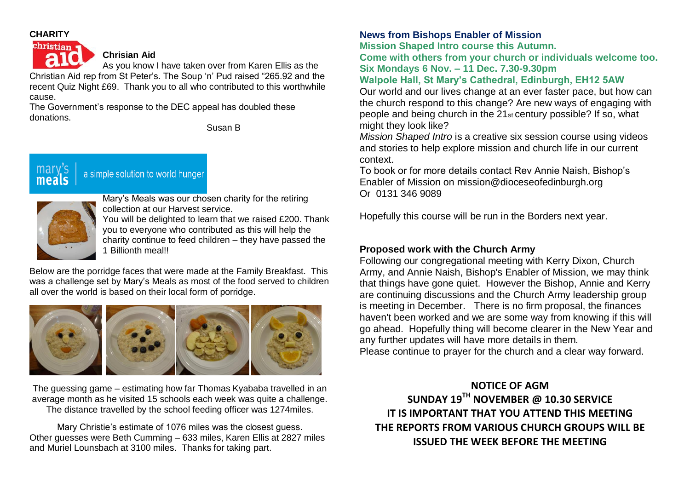## **CHARITY** christian



**Chrisian Aid**

As you know I have taken over from Karen Ellis as the Christian Aid rep from St Peter's. The Soup 'n' Pud raised "265.92 and the recent Quiz Night £69. Thank you to all who contributed to this worthwhile cause.

The Government's response to the DEC appeal has doubled these donations.

Susan B

# a simple solution to world hunger



mary

Mary's Meals was our chosen charity for the retiring collection at our Harvest service.

You will be delighted to learn that we raised £200. Thank you to everyone who contributed as this will help the charity continue to feed children – they have passed the 1 Billionth meal!!

Below are the porridge faces that were made at the Family Breakfast. This was a challenge set by Mary's Meals as most of the food served to children all over the world is based on their local form of porridge.



The guessing game – estimating how far Thomas Kyababa travelled in an average month as he visited 15 schools each week was quite a challenge. The distance travelled by the school feeding officer was 1274miles.

Mary Christie's estimate of 1076 miles was the closest guess. Other guesses were Beth Cumming – 633 miles, Karen Ellis at 2827 miles and Muriel Lounsbach at 3100 miles. Thanks for taking part.

## **News from Bishops Enabler of Mission**

**Mission Shaped Intro course this Autumn.**

**Come with others from your church or individuals welcome too. Six Mondays 6 Nov. – 11 Dec. 7.30-9.30pm**

## **Walpole Hall, St Mary's Cathedral, Edinburgh, EH12 5AW**

Our world and our lives change at an ever faster pace, but how can the church respond to this change? Are new ways of engaging with people and being church in the 21st century possible? If so, what might they look like?

*Mission Shaped Intro* is a creative six session course using videos and stories to help explore mission and church life in our current context.

To book or for more details contact Rev Annie Naish, Bishop's Enabler of Mission on mission@dioceseofedinburgh.org Or 0131 346 9089

Hopefully this course will be run in the Borders next year.

## **Proposed work with the Church Army**

Following our congregational meeting with Kerry Dixon, Church Army, and Annie Naish, Bishop's Enabler of Mission, we may think that things have gone quiet. However the Bishop, Annie and Kerry are continuing discussions and the Church Army leadership group is meeting in December. There is no firm proposal, the finances haven't been worked and we are some way from knowing if this will go ahead. Hopefully thing will become clearer in the New Year and any further updates will have more details in them.

Please continue to prayer for the church and a clear way forward.

**NOTICE OF AGM SUNDAY 19TH NOVEMBER @ 10.30 SERVICE IT IS IMPORTANT THAT YOU ATTEND THIS MEETING THE REPORTS FROM VARIOUS CHURCH GROUPS WILL BE ISSUED THE WEEK BEFORE THE MEETING**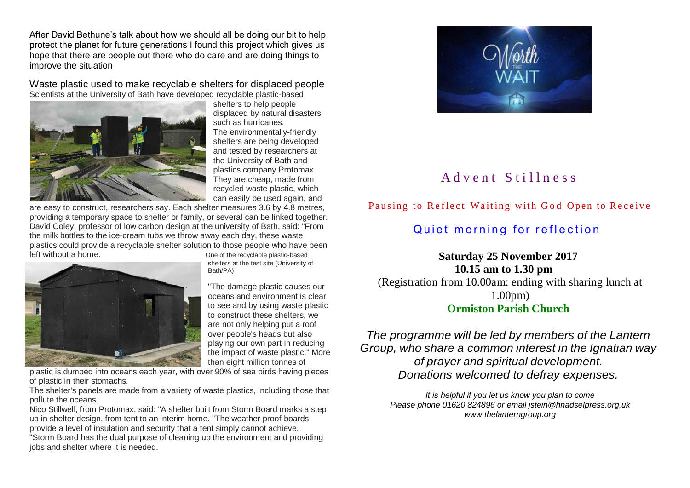After David Bethune's talk about how we should all be doing our bit to help protect the planet for future generations I found this project which gives us hope that there are people out there who do care and are doing things to improve the situation

Waste plastic used to make recyclable shelters for displaced people Scientists at the University of Bath have developed recyclable plastic-based



shelters to help people displaced by natural disasters such as hurricanes. The environmentally-friendly shelters are being developed and tested by researchers at the University of Bath and plastics company Protomax. They are cheap, made from recycled waste plastic, which can easily be used again, and

are easy to construct, researchers say. Each shelter measures 3.6 by 4.8 metres, providing a temporary space to shelter or family, or several can be linked together. David Coley, professor of low carbon design at the university of Bath, said: "From the milk bottles to the ice-cream tubs we throw away each day, these waste plastics could provide a recyclable shelter solution to those people who have been left without a home. One of the recyclable plastic-based



shelters at the test site (University of Bath/PA)

"The damage plastic causes our oceans and environment is clear to see and by using waste plastic to construct these shelters, we are not only helping put a roof over people's heads but also playing our own part in reducing the impact of waste plastic." More than eight million tonnes of

plastic is dumped into oceans each year, with over 90% of sea birds having pieces of plastic in their stomachs.

The shelter's panels are made from a variety of waste plastics, including those that pollute the oceans.

Nico Stillwell, from Protomax, said: "A shelter built from Storm Board marks a step up in shelter design, from tent to an interim home. "The weather proof boards provide a level of insulation and security that a tent simply cannot achieve. "Storm Board has the dual purpose of cleaning up the environment and providing jobs and shelter where it is needed.



# A d v e n t S t i l l n e s s

## Pausing to Reflect Waiting with God Open to Receive

# Quiet morning for reflection

## **Saturday 25 November 2017 10.15 am to 1.30 pm**

(Registration from 10.00am: ending with sharing lunch at 1.00pm) **Ormiston Parish Church**

# *The programme will be led by members of the Lantern Group, who share a common interest in the Ignatian way of prayer and spiritual development. Donations welcomed to defray expenses.*

*It is helpful if you let us know you plan to come Please phone 01620 824896 or email jstein@hnadselpress.org,uk www.thelanterngroup.org*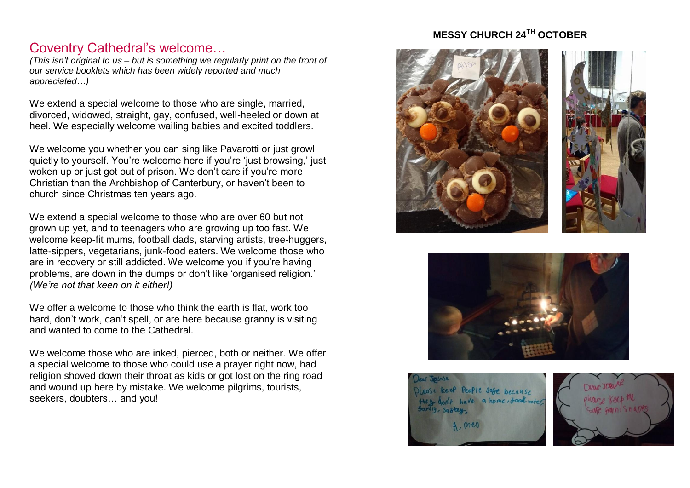# Coventry Cathedral's welcome…

*(This isn't original to us – but is something we regularly print on the front of our service booklets which has been widely reported and much appreciated…)*

We extend a special welcome to those who are single, married, divorced, widowed, straight, gay, confused, well-heeled or down at heel. We especially welcome wailing babies and excited toddlers.

We welcome you whether you can sing like Pavarotti or just growl quietly to yourself. You're welcome here if you're 'just browsing,' just woken up or just got out of prison. We don't care if you're more Christian than the Archbishop of Canterbury, or haven't been to church since Christmas ten years ago.

We extend a special welcome to those who are over 60 but not grown up yet, and to teenagers who are growing up too fast. We welcome keep-fit mums, football dads, starving artists, tree-huggers, latte-sippers, vegetarians, junk-food eaters. We welcome those who are in recovery or still addicted. We welcome you if you're having problems, are down in the dumps or don't like 'organised religion.' *(We're not that keen on it either!)*

We offer a welcome to those who think the earth is flat, work too hard, don't work, can't spell, or are here because granny is visiting and wanted to come to the Cathedral.

We welcome those who are inked, pierced, both or neither. We offer a special welcome to those who could use a prayer right now, had religion shoved down their throat as kids or got lost on the ring road and wound up here by mistake. We welcome pilgrims, tourists, seekers, doubters… and you!

# **MESSY CHURCH 24TH OCTOBER**